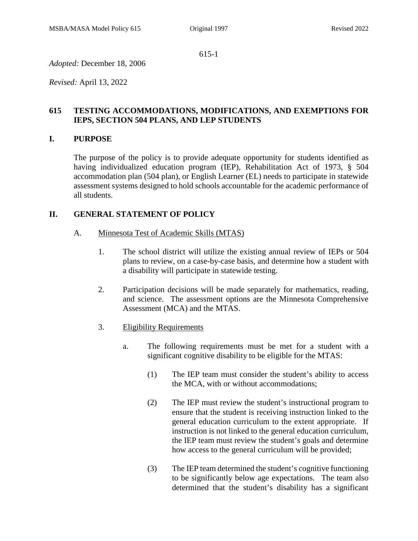*Adopted:* December 18, 2006

*Revised:* April 13, 2022

# **615 TESTING ACCOMMODATIONS, MODIFICATIONS, AND EXEMPTIONS FOR IEPS, SECTION 504 PLANS, AND LEP STUDENTS**

### **I. PURPOSE**

The purpose of the policy is to provide adequate opportunity for students identified as having individualized education program (IEP), Rehabilitation Act of 1973, § 504 accommodation plan (504 plan), or English Learner (EL) needs to participate in statewide assessment systems designed to hold schools accountable for the academic performance of all students.

## **II. GENERAL STATEMENT OF POLICY**

- A. Minnesota Test of Academic Skills (MTAS)
	- 1. The school district will utilize the existing annual review of IEPs or 504 plans to review, on a case-by-case basis, and determine how a student with a disability will participate in statewide testing.
	- 2. Participation decisions will be made separately for mathematics, reading, and science. The assessment options are the Minnesota Comprehensive Assessment (MCA) and the MTAS.
	- 3. Eligibility Requirements
		- a. The following requirements must be met for a student with a significant cognitive disability to be eligible for the MTAS:
			- (1) The IEP team must consider the student's ability to access the MCA, with or without accommodations;
			- (2) The IEP must review the student's instructional program to ensure that the student is receiving instruction linked to the general education curriculum to the extent appropriate. If instruction is not linked to the general education curriculum, the IEP team must review the student's goals and determine how access to the general curriculum will be provided;
			- (3) The IEP team determined the student's cognitive functioning to be significantly below age expectations. The team also determined that the student's disability has a significant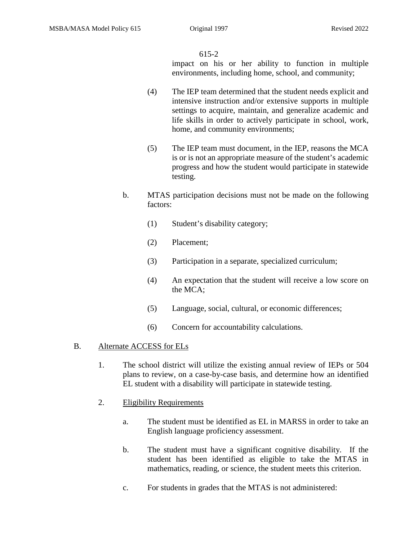impact on his or her ability to function in multiple environments, including home, school, and community;

- (4) The IEP team determined that the student needs explicit and intensive instruction and/or extensive supports in multiple settings to acquire, maintain, and generalize academic and life skills in order to actively participate in school, work, home, and community environments;
- (5) The IEP team must document, in the IEP, reasons the MCA is or is not an appropriate measure of the student's academic progress and how the student would participate in statewide testing.
- b. MTAS participation decisions must not be made on the following factors:
	- (1) Student's disability category;
	- (2) Placement;
	- (3) Participation in a separate, specialized curriculum;
	- (4) An expectation that the student will receive a low score on the MCA;
	- (5) Language, social, cultural, or economic differences;
	- (6) Concern for accountability calculations.

### B. Alternate ACCESS for ELs

- 1. The school district will utilize the existing annual review of IEPs or 504 plans to review, on a case-by-case basis, and determine how an identified EL student with a disability will participate in statewide testing.
- 2. Eligibility Requirements
	- a. The student must be identified as EL in MARSS in order to take an English language proficiency assessment.
	- b. The student must have a significant cognitive disability. If the student has been identified as eligible to take the MTAS in mathematics, reading, or science, the student meets this criterion.
	- c. For students in grades that the MTAS is not administered: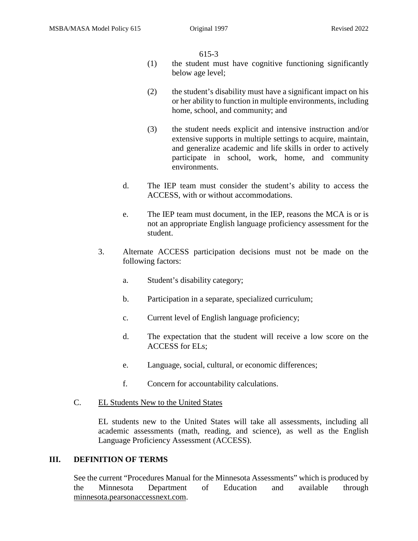- (1) the student must have cognitive functioning significantly below age level;
- (2) the student's disability must have a significant impact on his or her ability to function in multiple environments, including home, school, and community; and
- (3) the student needs explicit and intensive instruction and/or extensive supports in multiple settings to acquire, maintain, and generalize academic and life skills in order to actively participate in school, work, home, and community environments.
- d. The IEP team must consider the student's ability to access the ACCESS, with or without accommodations.
- e. The IEP team must document, in the IEP, reasons the MCA is or is not an appropriate English language proficiency assessment for the student.
- 3. Alternate ACCESS participation decisions must not be made on the following factors:
	- a. Student's disability category;
	- b. Participation in a separate, specialized curriculum;
	- c. Current level of English language proficiency;
	- d. The expectation that the student will receive a low score on the ACCESS for ELs;
	- e. Language, social, cultural, or economic differences;
	- f. Concern for accountability calculations.
- C. EL Students New to the United States

EL students new to the United States will take all assessments, including all academic assessments (math, reading, and science), as well as the English Language Proficiency Assessment (ACCESS).

### **III. DEFINITION OF TERMS**

See the current "Procedures Manual for the Minnesota Assessments" which is produced by the Minnesota Department of Education and available through minnesota.pearsonaccessnext.com.